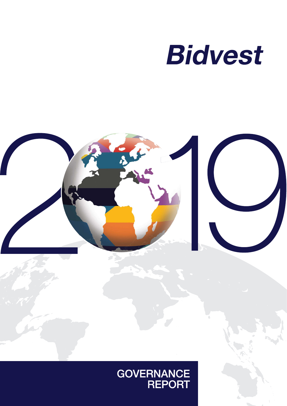



# GOVERNANCE<br>REPORT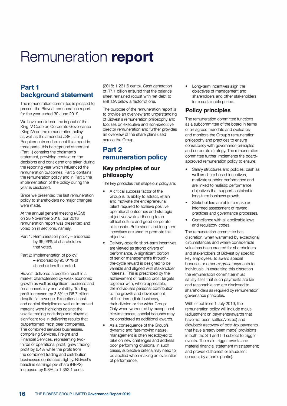## **Remuneration report**

## **Part 1 background statement**

The remuneration committee is pleased to present the Bidvest remuneration report for the year ended 30 June 2019.

We have considered the impact of the King IV Code on Corporate Governance (King IV) on the remuneration policy as well as the amended JSE Listing Requirements and present this report in three parts: this background statement (Part 1) contains the chairman's statement, providing context on the decisions and considerations taken during the reporting year which influenced the remuneration outcomes. Part 2 contains the remuneration policy and in Part 3 the implementation of the policy during the year is disclosed.

Since we presented the last remuneration policy to shareholders no major changes were made.

At the annual general meeting (AGM) on 28 November 2018, our 2018 remuneration report was presented and voted on in sections, namely:

- Part 1: Remuneration policy endorsed by 95,96% of shareholders that voted.
- Part 2: Implementation of policy: - endorsed by 95,01% of shareholders that voted.

Bidvest delivered a credible result in a market characterised by weak economic growth as well as significant business and fiscal uncertainty and volatility. Trading profit increased by 3.5% to R6.7 billion despite flat revenue. Exceptional cost and capital discipline as well as improved margins were highlights against the volatile trading backdrop and played a significant role in delivering results that outperformed most peer companies. The combined services businesses, comprising Services, Freight and Financial Services, representing twothirds of operational profit, grew trading profit by 6.4% while the profit from the combined trading and distribution businesses contracted slightly. Bidvest's headline earnings per share (HEPS) increased by 9.8% to 1 352.1 cents

(2018: 1 231 .6 cents). Cash generation of R7 .1 billion ensured that the balance sheet remained robust with net debt to EBITDA below a factor of one.

The purpose of the remuneration report is to provide an overview and understanding of Bidvest's remuneration philosophy and focuses on executive and non-executive director remuneration and further provides an overview of the share plans used across the Group.

## **Part 2 remuneration policy**

## **Key principles of our philosophy**

The key principles that shape our policy are:

- A critical success factor of the Group is its ability to attract, retain and motivate the entrepreneurial talent required to achieve positive operational outcomes and strategic objectives while adhering to an ethical culture and good corporate citizenship. Both short- and long-term incentives are used to promote this objective.
- Delivery-specific short-term incentives are viewed as strong drivers of performance. A significant portion of senior management's throughthe-cycle reward is designed to be variable and aligned with stakeholder interests. This is prescribed by the achievement of realistic profit targets together with, where applicable, the individual's personal contribution to the growth and development of their immediate business, their division or the wider Group. Only when warranted by exceptional circumstances, special bonuses may be considered as additional awards.
- As a consequence of the Group's dynamic and fast-moving nature, management is often redeployed to take on new challenges and address poor performing divisions. In such cases, subjective criteria may need to be applied when making an evaluation of performance.

Long-term incentives align the objectives of management and shareholders and other stakeholders for a sustainable period.

## **Policy principles**

The remuneration committee functions as a subcommittee of the board in terms of an agreed mandate and evaluates and monitors the Group's remuneration philosophy and practices to ensure consistency with governance principles and corporate strategy. The remuneration committee further implements the boardapproved remuneration policy to ensure:

- Salary structures and policies, cash as well as share-based incentives, motivate superior performance and are linked to realistic performance objectives that support sustainable long-term business growth.
- Stakeholders are able to make an informed assessment of reward practices and governance processes.
- Compliance with all applicable laws and regulatory codes.

The remuneration committee has discretion, when warranted by exceptional circumstances and where considerable value has been created for shareholders and stakeholders of Bidvest by specific key employees, to award special bonuses or other *ex gratia* payments to individuals. In exercising this discretion the remuneration committee must satisfy itself that such payments are fair and reasonable and are disclosed to shareholders as required by remuneration governance principles.

With effect from 1 July 2019, the remuneration policy will include malus (adjustment on payments/awards that have not been settled/vested) and clawback (recovery of post-tax payments that have already been made) provisions in both the STI and LTI subject to trigger events. The main trigger events are: material financial statement misstatement; and proven dishonest or fraudulent conduct by a participant(s).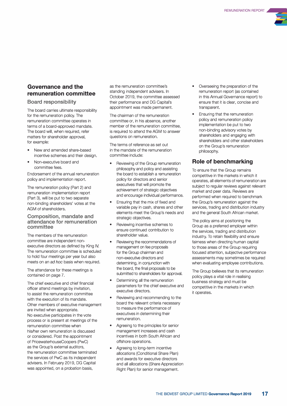

## **Governance and the remuneration committee**

#### **Board responsibility**

The board carries ultimate responsibility for the remuneration policy. The remuneration committee operates in terms of a board-approved mandate. The board will, when required, refer matters for shareholder approval, for example:

- New and amended share-based incentive schemes and their design.
- Non-executive board and committee fees.

Endorsement of the annual remuneration policy and implementation report.

The remuneration policy (Part 2) and remuneration implementation report (Part 3), will be put to two separate non-binding shareholders' votes at the AGM of shareholders.

#### **Composition, mandate and attendance for remuneration committee**

The members of the remuneration committee are independent nonexecutive directors as defined by King IV. The remuneration committee is scheduled to hold four meetings per year but also meets on an *ad hoc* basis when required.

The attendance for these meetings is contained on page 7.

The chief executive and chief financial officer attend meetings by invitation, to assist the remuneration committee with the execution of its mandate. Other members of executive management are invited when appropriate. No executive participates in the vote process or is present at meetings of the remuneration committee when his/her own remuneration is discussed or considered. Post the appointment of PricewaterhouseCoopers (PwC) as the Group's external auditors, the remuneration committee terminated the services of PwC as its independent advisers. In February 2019, DG Capital was appointed, on a probation basis,

as the remuneration committee's standing independent advisers. In October 2019, the committee assessed their performance and DG Capital's appointment was made permanent.

The chairman of the remuneration committee or, in his absence, another member of the remuneration committee, is required to attend the AGM to answer questions on remuneration.

The terms of reference as set out in the mandate of the remuneration committee include:

- Reviewing of the Group remuneration philosophy and policy and assisting the board to establish a remuneration policy for directors and senior executives that will promote the achievement of strategic objectives and encourage individual performance.
- Ensuring that the mix of fixed and variable pay in cash, shares and other elements meet the Group's needs and strategic objectives.
- Reviewing incentive schemes to ensure continued contribution to shareholder value.
- Reviewing the recommendations of management on fee proposals for the Group chairman and non-executive directors and determining, in conjunction with the board, the final proposals to be submitted to shareholders for approval.
- Determining all the remuneration parameters for the chief executive and executive directors.
- Reviewing and recommending to the board the relevant criteria necessary to measure the performance of executives in determining their remuneration.
- Agreeing to the principles for senior management increases and cash incentives in both South African and offshore operations.
- Agreeing to long-term incentive allocations (Conditional Share Plan) and awards for executive directors and all allocations (Share Appreciation Right Plan) for senior management.
- Overseeing the preparation of the remuneration report (as contained in this Annual Governance report) to ensure that it is clear, concise and transparent.
- Ensuring that the remuneration policy and remuneration policy implementation be put to two non-binding advisory votes by shareholders and engaging with shareholders and other stakeholders on the Group's remuneration philosophy.

## **Role of benchmarking**

To ensure that the Group remains competitive in the markets in which it operates, all elements of remuneration are subject to regular reviews against relevant market and peer data. Reviews are performed when required to benchmark the Group's remuneration against the services, trading and distribution industry and the general South African market.

The policy aims at positioning the Group as a preferred employer within the services, trading and distribution industry. To retain flexibility and ensure fairness when directing human capital to those areas of the Group requiring focused attention, subjective performance assessments may sometimes be required when evaluating employee contributions.

The Group believes that its remuneration policy plays a vital role in realising business strategy and must be competitive in the markets in which it operates.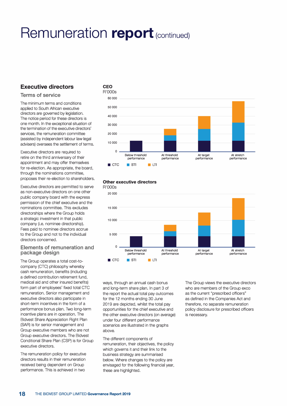## **Executive directors**

#### **Terms of service**

The minimum terms and conditions applied to South African executive directors are governed by legislation. The notice period for these directors is one month. In the exceptional situation of the termination of the executive directors' services, the remuneration committee (assisted by independent labour law legal advisers) oversees the settlement of terms.

Executive directors are required to retire on the third anniversary of their appointment and may offer themselves for re-election. As appropriate, the board, through the nominations committee, proposes their re-election to shareholders.

Executive directors are permitted to serve as non-executive directors on one other public company board with the express permission of the chief executive and the nominations committee. This excludes directorships where the Group holds a strategic investment in that public company (i.e. nominee directorship). Fees paid to nominee directors accrue to the Group and not to the individual directors concerned.

#### **Elements of remuneration and package design**

The Group operates a total cost-tocompany (CTC) philosophy whereby cash remuneration, benefits (including a defined contribution retirement fund, medical aid and other insured benefits) form part of employees' fixed total CTC remuneration. Senior management and executive directors also participate in short-term incentives in the form of a performance bonus plan. Two long-term incentive plans are in operation. The Bidvest Share Appreciation Right Plan (SAR) is for senior management and Group executive members who are not Group executive directors. The Bidvest Conditional Share Plan (CSP) is for Group executive directors.

The remuneration policy for executive directors results in their remuneration received being dependent on Group performance. This is achieved in two



#### **Other executive directors**



ways, through an annual cash bonus and long-term share plan. In part 3 of the report the actual total pay outcomes for the 12 months ending 30 June 2019 are depicted, whilst the total pay opportunities for the chief executive and the other executive directors (on average) under four different performance scenarios are illustrated in the graphs above.

The different components of remuneration, their objectives, the policy which governs it and their link to the business strategy are summarised below. Where changes to the policy are envisaged for the following financial year, these are highlighted.

The Group views the executive directors who are members of the Group exco as the current "prescribed officers" as defined in the Companies Act and therefore, no separate remuneration policy disclosure for prescribed officers is necessary.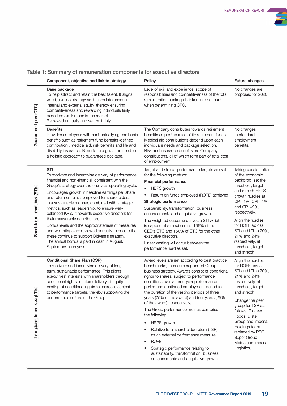

## **Table 1: Summary of remuneration components for executive directors**

|                              | Component, objective and link to strategy                                                                                                                                                                                                                                                                                                                                                                                                                                                                                                                                                                                                                                                                        | <b>Policy</b>                                                                                                                                                                                                                                                                                                                                                                                                                                                                                                                                                                                                                                                                                                                 | <b>Future changes</b>                                                                                                                                                                                                                                                                                                             |
|------------------------------|------------------------------------------------------------------------------------------------------------------------------------------------------------------------------------------------------------------------------------------------------------------------------------------------------------------------------------------------------------------------------------------------------------------------------------------------------------------------------------------------------------------------------------------------------------------------------------------------------------------------------------------------------------------------------------------------------------------|-------------------------------------------------------------------------------------------------------------------------------------------------------------------------------------------------------------------------------------------------------------------------------------------------------------------------------------------------------------------------------------------------------------------------------------------------------------------------------------------------------------------------------------------------------------------------------------------------------------------------------------------------------------------------------------------------------------------------------|-----------------------------------------------------------------------------------------------------------------------------------------------------------------------------------------------------------------------------------------------------------------------------------------------------------------------------------|
|                              | <b>Base package</b><br>To help attract and retain the best talent. It aligns<br>with business strategy as it takes into account<br>internal and external equity, thereby ensuring<br>competitiveness and rewarding individuals fairly<br>based on similar jobs in the market.<br>Reviewed annually and set on 1 July.                                                                                                                                                                                                                                                                                                                                                                                            | Level of skill and experience, scope of<br>responsibilities and competitiveness of the total<br>remuneration package is taken into account<br>when determining CTC.                                                                                                                                                                                                                                                                                                                                                                                                                                                                                                                                                           | No changes are<br>proposed for 2020.                                                                                                                                                                                                                                                                                              |
| Guaranteed pay (CTC)         | <b>Benefits</b><br>Provides employees with contractually agreed basic<br>benefits such as retirement fund benefits (defined<br>contribution), medical aid, risk benefits and life and<br>disability insurance. Benefits recognise the need for<br>a holistic approach to guaranteed package.                                                                                                                                                                                                                                                                                                                                                                                                                     | The Company contributes towards retirement<br>benefits as per the rules of its retirement funds.<br>Medical aid contributions depend upon each<br>individual's needs and package selection.<br>Risk and insurance benefits are Company<br>contributions, all of which form part of total cost<br>of employment.                                                                                                                                                                                                                                                                                                                                                                                                               | No changes<br>to standard<br>employment<br>benefits.                                                                                                                                                                                                                                                                              |
| Short-term incentives (STIs) | <b>STI</b><br>To motivate and incentivise delivery of performance,<br>financial and non-financial, consistent with the<br>Group's strategy over the one-year operating cycle.<br>Encourages growth in headline earnings per share<br>and return on funds employed for shareholders<br>in a sustainable manner, combined with strategic<br>metrics, such as leadership, to ensure well-<br>balanced KPIs. It rewards executive directors for<br>their measurable contribution.<br>Bonus levels and the appropriateness of measures<br>and weightings are reviewed annually to ensure that<br>these continue to support Bidvest's strategy.<br>The annual bonus is paid in cash in August/<br>September each year. | Target and stretch performance targets are set<br>for the following metrics:<br><b>Financial performance</b><br><b>HEPS</b> growth<br>٠<br>Return on funds employed (ROFE) achieved<br>٠<br>Strategic performance<br>Sustainability, transformation, business<br>enhancements and acquisitive growth.<br>The weighted outcome derives a STI which<br>is capped at a maximum of 165% of the<br>CEO's CTC and 150% of CTC for the other<br>executive directors.<br>Linear vesting will occur between the<br>performance hurdles set.                                                                                                                                                                                            | Taking consideration<br>of the economic<br>backdrop, set the<br>threshold, target<br>and stretch HEPS<br>growth hurdles at<br>CPI-1%, CPI+1%<br>and CPI $+2\%$ ,<br>respectively.<br>Align the hurdles<br>for ROFE across<br>STI and LTI to 20%,<br>21% and 24%,<br>respectively, at<br>threshold, target<br>and stretch.         |
| Long-term incentives (LTIs)  | <b>Conditional Share Plan (CSP)</b><br>To motivate and incentivise delivery of long-<br>term, sustainable performance. This aligns<br>executives' interests with shareholders through<br>conditional rights to future delivery of equity.<br>Vesting of conditional rights to shares is subject<br>to performance targets, thereby supporting the<br>performance culture of the Group.                                                                                                                                                                                                                                                                                                                           | Award levels are set according to best practice<br>benchmarks, to ensure support of Group<br>business strategy. Awards consist of conditional<br>rights to shares, subject to performance<br>conditions over a three-year performance<br>period and continued employment period for<br>the duration of the vesting periods of three<br>years (75% of the award) and four years (25%<br>of the award), respectively.<br>The Group performance metrics comprise<br>the following:<br><b>HEPS</b> growth<br>Relative total shareholder return (TSR)<br>as an external performance measure<br><b>ROFE</b><br>Strategic performance relating to<br>sustainability, transformation, business<br>enhancements and acquisitive growth | Align the hurdles<br>for ROFE across<br>STI and LTI to 20%,<br>21% and 24%,<br>respectively, at<br>threshold, target<br>and stretch.<br>Change the peer<br>group for TSR as<br>follows: Pioneer<br>Foods, Distell<br>Group and Imperial<br>Holdings to be<br>replaced by PSG,<br>Super Group,<br>Motus and Imperial<br>Logistics. |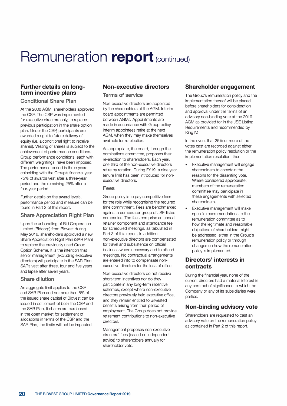## **Further details on longterm incentive plans**

#### **Conditional Share Plan**

At the 2008 AGM, shareholders approved the CSP. The CSP was implemented for executive directors only, to replace previous participation in the share option plan. Under the CSP, participants are awarded a right to future delivery of equity (i.e. a conditional right to receive shares). Vesting of shares is subject to the achievement of performance conditions. Group performance conditions, each with different weightings, have been imposed. The performance period is three years, coinciding with the Group's financial year. 75% of awards vest after a three-year period and the remaining 25% after a four-year period.

Further details on the award levels, performance period and measure can be found in Part 3 of this report.

### **Share Appreciation Right Plan**

Upon the unbundling of Bid Corporation Limited (Bidcorp) from Bidvest during May 2016, shareholders approved a new Share Appreciation Right Plan (SAR Plan) to replace the previously used Group Option Scheme. It is the intention that senior management (excluding executive directors) will participate in the SAR Plan. SARs vest after three, four and five years and lapse after seven years.

#### **Share dilution**

An aggregate limit applies to the CSP and SAR Plan and no more than 5% of the issued share capital of Bidvest can be issued in settlement of both the CSP and the SAR Plan. If shares are purchased in the open market for settlement of allocations in terms of the CSP and the SAR Plan, the limits will not be impacted.

## **Non-executive directors**

**Terms of service** 

Non-executive directors are appointed by the shareholders at the AGM. Interim board appointments are permitted between AGMs. Appointments are made in accordance with Group policy. Interim appointees retire at the next AGM, when they may make themselves available for re-election.

As appropriate, the board, through the nominations committee, proposes their re-election to shareholders. Each year, one third of the non-executive directors retire by rotation. During FY19, a nine year tenure limit has been introduced for nonexecutive directors.

#### **Fees**

Group policy is to pay competitive fees for the role while recognising the required time commitment. Fees are benchmarked against a comparator group of JSE-listed companies. The fees comprise an annual retainer component and attendance fee for scheduled meetings, as tabulated in Part 3 of this report. In addition, non-executive directors are compensated for travel and subsistence on official business where necessary and to attend meetings. No contractual arrangements are entered into to compensate nonexecutive directors for the loss of office.

Non-executive directors do not receive short-term incentives nor do they participate in any long-term incentive schemes, except where non-executive directors previously held executive office, and they remain entitled to unvested benefits arising from their period of employment. The Group does not provide retirement contributions to non-executive directors.

Management proposes non-executive directors' fees (based on independent advice) to shareholders annually for shareholder vote.

## **Shareholder engagement**

The Group's remuneration policy and the implementation thereof will be placed before shareholders for consideration and approval under the terms of an advisory non-binding vote at the 2019 AGM as provided for in the JSE Listing Requirements and recommended by King IV.

In the event that 25% or more of the votes cast are recorded against either the remuneration policy resolution or the implementation resolution, then:

- Executive management will engage shareholders to ascertain the reasons for the dissenting vote. Where considered appropriate, members of the remuneration committee may participate in these engagements with selected shareholders.
- Executive management will make specific recommendations to the remuneration committee as to how the legitimate and reasonable objections of shareholders might be addressed, either in the Group's remuneration policy or through changes on how the remuneration policy is implemented.

## **Directors' interests in contracts**

During the financial year, none of the current directors had a material interest in any contract of significance to which the Company or any of its subsidiaries were parties.

## **Non-binding advisory vote**

Shareholders are requested to cast an advisory vote on the remuneration policy as contained in Part 2 of this report.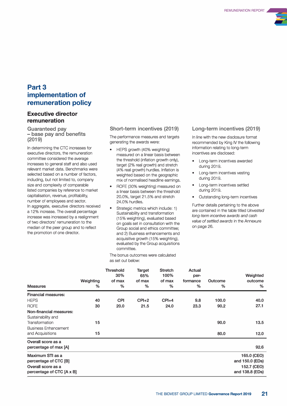

## **Part3 implementation of remuneration policy**

### **Executive director remuneration**

**Guaranteed pay - base pay and benefits (2019)**

In determining the CTC increases for executive directors, the remuneration committee considered the average increases to general staff and also used relevant market data. Benchmarks were selected based on a number of factors, including, but not limited to, company size and complexity of comparable listed companies by reference to market capitalisation, revenue, profitability, number of employees and sector. In aggregate, executive directors received a 12% increase. The overall percentage increase was increased by a realignment of two directors' remuneration to the median of the peer group and to reflect the promotion of one director.

#### **Short-term incentives (2019)**

The performance measures and targets generating the awards were:

- HEPS growth (40% weighting) measured on a linear basis between the threshold (inflation growth only), target (2% real growth) and stretch (4% real growth) hurdles. Inflation is weighted based on the geographic mix of normalised headline earnings.
- ROFE (30% weighting) measured on a linear basis between the threshold 20.0%, target 21.5% and stretch 24.0% hurdles.
- Strategic metrics which include: 1) Sustainability and transformation (15% weighting), evaluated based on goals set in consultation with the Group social and ethics committee; and 2) Business enhancements and acquisitive growth (15% weighting), evaluated by the Group acquisitions committee.

The bonus outcomes were calculated as set out below:

#### **Long-term incentives (2019)**

In line with the new disclosure format recommended by King IV the following information relating to long-term incentives are disclosed:

- Long-term incentives awarded during 2019.
- Long-term incentives vesting during 2019.
- Long-term incentives settled during 2019.
- Outstanding long-term incentives

Further details pertaining to the above are contained in the table titled *Unvested long-term incentive awards and cash value of settled awards* in the Annexure on page 26.

| <b>Measures</b>                                                                                                    | Weighting<br>% | <b>Threshold</b><br>30%<br>of max<br>$\%$ | Target<br>65%<br>of max<br>$\%$ | <b>Stretch</b><br>100%<br>of max<br>$\%$ | Actual<br>per-<br>formance<br>% | Outcome<br>$\%$ | Weighted<br>outcome<br>$\%$                                      |
|--------------------------------------------------------------------------------------------------------------------|----------------|-------------------------------------------|---------------------------------|------------------------------------------|---------------------------------|-----------------|------------------------------------------------------------------|
| <b>Financial measures:</b><br><b>HEPS</b><br><b>ROFE</b>                                                           | 40<br>30       | <b>CPI</b><br>20.0                        | $CPI+2$<br>21.5                 | $CPI + 4$<br>24.0                        | 9.8<br>23.3                     | 100.0<br>90.2   | 40.0<br>27.1                                                     |
| Non-financial measures:<br>Sustainability and<br>Transformation<br><b>Business Enhancement</b><br>and Acquisitions | 15<br>15       |                                           |                                 |                                          |                                 | 90.0<br>80.0    | 13.5<br>12.0                                                     |
| Overall score as a<br>percentage of max [A]                                                                        |                |                                           |                                 |                                          |                                 |                 | 92.6                                                             |
| Maximum STI as a<br>percentage of CTC [B]<br>Overall score as a<br>percentage of CTC [A x B]                       |                |                                           |                                 |                                          |                                 |                 | 165.0 (CEO)<br>and 150.0 (EDs)<br>152.7 (CEO)<br>and 138.8 (EDs) |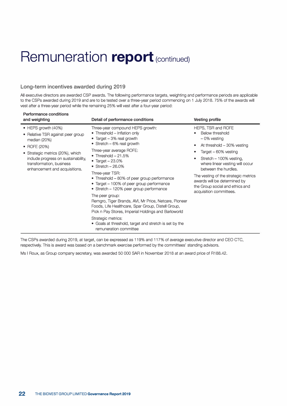### **Long-term incentives awarded during 2019**

All executive directors are awarded CSP awards. The following performance targets, weighting and performance periods are applicable to the CSPs awarded during 2019 and are to be tested over a three-year period commencing on 1 July 2018. 75% of the awards will vest after a three-year period while the remaining 25% will vest after a four-year period:

| Performance conditions<br>and weighting                                                                                                                                                                                                  | Detail of performance conditions                                                                                                                                                                                                                                                                                                                                                                                                                                                                                                                                                                                                                                                              | <b>Vesting profile</b>                                                                                                                                                                                                                                                                                                                           |
|------------------------------------------------------------------------------------------------------------------------------------------------------------------------------------------------------------------------------------------|-----------------------------------------------------------------------------------------------------------------------------------------------------------------------------------------------------------------------------------------------------------------------------------------------------------------------------------------------------------------------------------------------------------------------------------------------------------------------------------------------------------------------------------------------------------------------------------------------------------------------------------------------------------------------------------------------|--------------------------------------------------------------------------------------------------------------------------------------------------------------------------------------------------------------------------------------------------------------------------------------------------------------------------------------------------|
| $\bullet$ HEPS growth (40%)<br>• Relative TSR against peer group<br>median (20%)<br>• ROFE (20%)<br>• Strategic metrics (20%), which<br>include progress on sustainability,<br>transformation, business<br>enhancement and acquisitions. | Three-year compound HEPS growth:<br>• Threshold – Inflation only<br>• Target $-3\%$ real growth<br>• Stretch $-6\%$ real growth<br>Three-year average ROFE:<br>• Threshold $-21.5%$<br>• Target $-23.0\%$<br>• Stretch $-26.0\%$<br>Three-year TSR:<br>• Threshold - 80% of peer group performance<br>• Target – 100% of peer group performance<br>• Stretch – 120% peer group performance<br>The peer group:<br>Remgro, Tiger Brands, AVI, Mr Price, Netcare, Pioneer<br>Foods, Life Healthcare, Spar Group, Distell Group,<br>Pick n Pay Stores, Imperial Holdings and Barloworld<br>Strategic metrics:<br>• Goals at threshold, target and stretch is set by the<br>remuneration committee | HEPS, TSR and ROFE<br>Below threshold<br>$-0\%$ vesting<br>At threshold $-30\%$ vesting<br>٠<br>Target - 60% vesting<br>Stretch - 100% vesting,<br>where linear vesting will occur<br>between the hurdles.<br>The vesting of the strategic metrics<br>awards will be determined by<br>the Group social and ethics and<br>acquisition committees. |

The CSPs awarded during 2019, at target, can be expressed as 119% and 117% of average executive director and CEO CTC, respectively. This is award was based on a benchmark exercise performed by the committees' standing advisors.

Ms I Roux, as Group company secretary, was awarded 50 000 SAR in November 2018 at an award price of R188.42.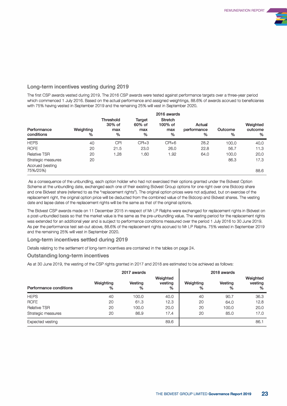

### **Long-term incentives vesting during 2019**

The first CSP awards vested during 2019. The 2016 CSP awards were tested against performance targets over a three-year period which commenced 1 July 2016. Based on the actual performance and assigned weightings, 88.6% of awards accrued to beneficiaries with 75% having vested in September 2019 and the remaining 25% will vest in September 2020.

| Weighting<br>$\%$ | <b>Threshold</b><br>30% of<br>max<br>% | Target<br>60% of<br>max<br>% | <b>Stretch</b><br>100% of<br>max<br>$\%$ | Actual<br>performance<br>% | Outcome<br>% | Weighted<br>outcome<br>% |
|-------------------|----------------------------------------|------------------------------|------------------------------------------|----------------------------|--------------|--------------------------|
| 40                | CPI                                    | $CPI+3$                      | $CPI+6$                                  | 28.2                       | 100.0        | 40.0                     |
| 20                | 21.5                                   | 23.0                         | 26.0                                     | 22.8                       | 56.7         | 11.3                     |
| 20                | 1.28                                   | 1.60                         | .92                                      | 64.0                       | 100.0        | 20.0                     |
| 20                |                                        |                              |                                          |                            | 86.3         | 17.3<br>88.6             |
|                   |                                        |                              |                                          |                            |              | 2016 awards              |

As a consequence of the unbundling, each option holder who had not exercised their options granted under the Bidvest Option Scheme at the unbundling date, exchanged each one of their existing Bidvest Group options for one right over one Bidcorp share and one Bidvest share (referred to as the "replacement rights"). The original option prices were not adjusted, but on exercise of the replacement right, the original option price will be deducted from the combined value of the Bidcorp and Bidvest shares. The vesting date and lapse dates of the replacement rights will be the same as that of the original options.

The Bidvest CSP awards made on 11 December 2015 in respect of Mr LP Ralphs were exchanged for replacement rights in Bidvest on a post-unbundled basis so that the market value is the same as the pre-unbundling value. The vesting period for the replacement rights was extended for an additional year and is subject to performance conditions measured over the period 1 July 2016 to 30 June 2019. As per the performance test set-out above, 88.6% of the replacement rights accrued to Mr LP Ralphs. 75% vested in September 2019 and the remaining 25% will vest in September 2020.

#### **Long-term incentives settled during 2019**

Details relating to the settlement of long-term incentives are contained in the tables on page 24.

#### **Outstanding long-term incentives**

As at 30 June 2019, the vesting of the CSP rights granted in 2017 and 2018 are estimated to be achieved as follows:

|                        |                | 2017 awards     |                          | 2018 awards    |              |                          |  |
|------------------------|----------------|-----------------|--------------------------|----------------|--------------|--------------------------|--|
| Performance conditions | Weighting<br>% | Vesting<br>$\%$ | Weighted<br>vesting<br>% | Weighting<br>% | Vesting<br>% | Weighted<br>vesting<br>% |  |
| <b>HEPS</b>            | 40             | 100.0           | 40.0                     | 40             | 90.7         | 36.3                     |  |
| <b>ROFE</b>            | 20             | 61.3            | 12.3                     | 20             | 64.0         | 12.8                     |  |
| <b>Relative TSR</b>    | 20             | 100.0           | 20.0                     | 20             | 100.0        | 20.0                     |  |
| Strategic measures     | 20             | 86.9            | 17.4                     | 20             | 85.0         | 17.0                     |  |
| Expected vesting       |                |                 | 89.6                     |                |              | 86.1                     |  |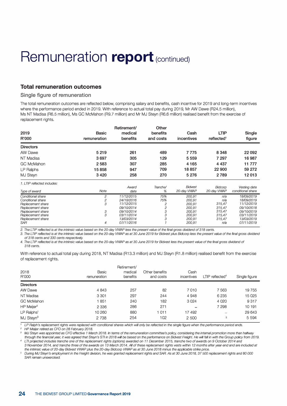### **Total remuneration outcomes**

#### **Single figure of remuneration**

The total remuneration outcomes are reflected below, comprising salary and benefits, cash incentive for 2019 and long-term incentives where the performance period ended in 2019. With reference to actual total pay during 2019, Mr AW Dawe (R24.5 million), Ms NT Madisa (R6.5 million), Ms GC McMahon (R9.7 million) and Mr MJ Steyn (R6.6 million) realised benefit from the exercise of replacement rights.

|                             |                | Retirement/ | Other          |                |                        |                   |
|-----------------------------|----------------|-------------|----------------|----------------|------------------------|-------------------|
| 2019                        | <b>Basic</b>   | medical     | benefits       | Cash           | <b>LTIP</b>            | Single            |
| R'000                       | remuneration   | benefits    | and costs      | incentives     | reflected <sup>1</sup> | figure            |
| <b>Directors</b>            |                |             |                |                |                        |                   |
| <b>AW Dawe</b>              | 5 2 1 9        | 261         | 489            | 7775           | 8 3 4 8                | 22 092            |
| NT Madisa                   | 3697           | 305         | 129            | 5 5 5 9        | 7 297                  | 16987             |
| <b>GC McMahon</b>           | 2 5 8 3        | 307         | 285            | 4 1 6 5        | 4 4 3 7                | 11 777            |
| LP Ralphs                   | 15858          | 947         | 709            | 18857          | 22 900                 | 59 272            |
| MJ Steyn                    | 3 4 2 0        | 258         | 270            | 5 2 7 6        | 2789                   | 12013             |
| 1. LTIP reflected includes: |                |             |                |                |                        |                   |
|                             |                | Award       | Tranche/       | <b>Bidvest</b> | Bidcorp                | Vesting date      |
| Type of award               | <b>Note</b>    | date        | %              | 20-day WWAP    | 20-day VWAP            | conditional share |
| Conditional share           | 2              | 11/12/2015  | 75%            | 200,91         | n/a                    | 18/09/2019        |
| Conditional share           | $\overline{c}$ | 24/10/2016  | 75%            | 200,91         | n/a                    | 18/09/2019        |
| Replacement share           | 3              | 11/12/2015  | $\overline{c}$ | 200,91         | 315,47                 | 11/12/2019        |
| Replacement share           |                | 09/10/2014  | $\overline{c}$ | 200,91         | 315,47                 | 09/10/2018        |
| Replacement share           | 3              | 09/10/2014  | 3              | 200,91         | 315,47                 | 09/10/2019        |
| Replacement share           | 3              | 03/11/2014  | 3              | 200,91         | 315,47                 | 03/11/2019        |
| Replacement share           |                | 13/03/2014  | 3              | 200,91         | 315,47                 | 13/03/2019        |
| <b>SAR</b>                  | 4              | 07/11/2016  |                | 200,91         | n/a                    | 07/11/2019        |

*2. The LTIP reflected* is *at the intrinsic value based on the 20-day VWAP less the present value of the final gross dividend of 318 cents.* 

*3. The LTIP reflected* is *at the intrinsic value based on the 20-day VWAP as at 30 June 2019 for Bidvest plus Bidcorp less the present value of the final gross dividend of 318 cents and 330 cents respectively.* 

*4. The LTIP reflected is at the intrinsic value based on the 20-day VWAP as at 30 June 2019 for Bidvest less the present value of the final gross dividend of 318 cents.* 

With reference to actual total pay during 2018, NT Madisa (R13.3 million) and MJ Steyn (R1 .8 million) realised benefit from the exercise of replacement rights.

| 2018<br>R'000          | Basic<br>remuneration | Retirement/<br>medical<br>benefits | Other benefits<br>and costs | Cash<br>incentives | LTIP reflected <sup>4</sup> | Single figure |
|------------------------|-----------------------|------------------------------------|-----------------------------|--------------------|-----------------------------|---------------|
| <b>Directors</b>       |                       |                                    |                             |                    |                             |               |
| AW Dawe                | 4 8 4 3               | 257                                | 82                          | 7010               | 7563                        | 19755         |
| NT Madisa              | 3 3 0 1               | 297                                | 244                         | 4948               | 6 2 3 5                     | 15 0 25       |
| <b>GC McMahon</b>      | 1851                  | 240                                | 182                         | 3024               | 4 0 2 0                     | 9317          |
| HP Meijer <sup>2</sup> | 2 3 3 6               | 286                                | 271                         | ÷                  | 7 298                       | 10 191        |
| LP Ralphs <sup>1</sup> | 10 260                | 880                                | 1011                        | 17 492             | $\overline{\phantom{a}}$    | 29 643        |
| MJ Steyn <sup>3</sup>  | 2 7 3 8               | 254                                | 102                         | 2 500              | 5                           | 5 5 9 4       |

<sup>1</sup> LP Ralph's replacement rights were replaced with conditional shares which will only be reflected in the single figure when the performance period ends.

*<sup>2</sup>HP Meijer retired as CFO on 28 February 2018.* 

*3 MJ Steyn was appointed as CFO effective 1 March 2018. In terms of the remuneration committee's policy, considering the intemal promotion more than halfway*  through the financial year, it was agreed that Steyn's STI in 2018 will be based on the performance on Bidvest Freight. He will fall in with the Group policy from 2019. *4 LT/ projected includes tranche one of the replacement rights (options) awarded on 11 December 2015, tranche two of awards on 9 October 2014 and* 

*3 November 2014, and tranche three of the awards on 13 March 2014. All of these replacement rights vests within 12 months after year end and are included at the intrinsic value of 20-day Bidvest VWAP plus the 20-day Bidcorp VWAP as at 30 June 2018 minus the applicable strike price.* 

*<sup>5</sup>During MJ Steyn's employment in the Freight division, he was granted replacement rights and SAR. As at 30 June 2018, 37* 500 *replacement rights and 80* 000 *SAR remain unexercised.*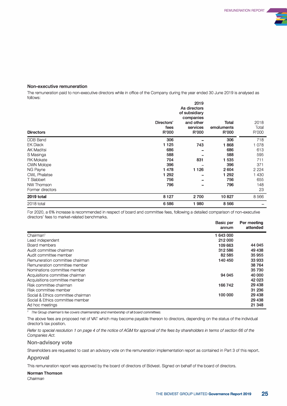

#### **Non-executive remuneration**

The remuneration paid to non-executive directors while in office of the Company during the year ended 30 June 2019 is analysed as follows:

| <b>Directors</b>    | Directors'<br>fees<br>R'000 | 2019<br>As directors<br>of subsidiary<br>companies<br>and other<br>services<br>R'000 | Total<br>emoluments<br>R'000 | 2018<br>Total<br>R'000 |
|---------------------|-----------------------------|--------------------------------------------------------------------------------------|------------------------------|------------------------|
| DDB Band            | 306                         |                                                                                      | 306                          | 718                    |
| <b>EK Diack</b>     | 1 1 2 5                     | 743                                                                                  | 868                          | 1 0 7 8                |
| <b>AK Maditsi</b>   | 686                         |                                                                                      | 686                          | 613                    |
| S Masinga           | 588                         |                                                                                      | 588                          | 595                    |
| <b>RK Mokate</b>    | 704                         | 831                                                                                  | 1 5 3 5                      | 711                    |
| <b>CWN Molope</b>   | 396                         |                                                                                      | 396                          | 371                    |
| NG Payne            | 1478                        | 1 1 2 6                                                                              | 2604                         | 2 2 2 4                |
| <b>CWL Phalatse</b> | 1 292                       |                                                                                      | 1 2 9 2                      | 1 4 3 0                |
| T Slabbert          | 756                         |                                                                                      | 756                          | 655                    |
| NW Thomson          | 796                         | $\equiv$                                                                             | 796                          | 148                    |
| Former directors    |                             |                                                                                      |                              | 23                     |
| 2019 total          | 8 1 2 7                     | 2700                                                                                 | 10827                        | 8566                   |
| 2018 total          | 6586                        | 1980                                                                                 | 8 5 6 6                      |                        |

For 2020, a 6% increase is recommended in respect of board and committee fees, following a detailed comparison of non-executive directors' fees to market-related benchmarks.

|                                    | <b>Basic per</b><br>annum | Per meeting<br>attended |
|------------------------------------|---------------------------|-------------------------|
| Chairman <sup>1</sup>              | 1 643 000                 |                         |
| Lead independent                   | 212 000                   |                         |
| Board members                      | 109 663                   | 44 045                  |
| Audit committee chairman           | 312 586                   | 49 438                  |
| Audit committee member             | 82 585                    | 35 955                  |
| Remuneration committee chairman    | 140 450                   | 33 933                  |
| Remuneration committee member      |                           | 38 764                  |
| Nominations committee member       |                           | 35 730                  |
| Acquisitions committee chairman    | 94 045                    | 40 000                  |
| Acquisitions committee member      |                           | 42 0 23                 |
| Risk committee chairman            | 166742                    | 29 438                  |
| Risk committee member              |                           | 31 236                  |
| Social & Ethics committee chairman | 100 000                   | 29 438                  |
| Social & Ethics committee member   |                           | 29 4 38                 |
| Ad hoc meetings                    |                           | 21 348                  |

<sup>1</sup> The Group chairman's fee covers chairmanship and membership of all board committees.

The above fees are proposed net of VAT which may become payable thereon to directors, depending on the status of the individual director's tax position.

*Refer to special resolution 1 on page 4 of the notice of AGM for approval of the fees by shareholders in terms of section 66 of the Companies Act.* 

#### **Non-advisory vote**

Shareholders are requested to cast an advisory vote on the remuneration implementation report as contained in Part 3 of this report.

#### **Approval**

This remuneration report was approved by the board of directors of Bidvest. Signed on behalf of the board of directors.

#### **Norman Thomson**

*Chairman*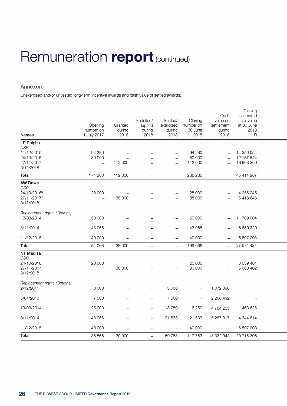### **Annexure**

Unexercised and/or unvested long-term incentive awards and cash value of settled awards:

| <b>Names</b>                                                            | Opening<br>number on<br>1 July 2017          | Granted<br>during<br>2018 | Forfeited/<br>lapsed<br>during<br>2018 | Settled/<br>exercised<br>during<br>2018 | Closing<br>number on<br>30 June<br>2018 | Cash<br>value on<br>settlement<br>during<br>2018 | Closing<br>estimated<br>fair value<br>at 30 June<br>2018<br>R |  |
|-------------------------------------------------------------------------|----------------------------------------------|---------------------------|----------------------------------------|-----------------------------------------|-----------------------------------------|--------------------------------------------------|---------------------------------------------------------------|--|
| <b>LP Ralphs</b>                                                        |                                              |                           |                                        |                                         |                                         |                                                  |                                                               |  |
| <b>CSP</b><br>11/12/2015<br>24/10/2016<br>27/11/2017<br>3/12/2018       | 94 280<br>80 000<br>$\overline{\phantom{a}}$ | 112 000                   |                                        | $\overline{\phantom{a}}$<br>$\equiv$    | 94 280<br>80 000<br>112 000             | $\sim$<br>$\overline{\phantom{0}}$               | 14 350 054<br>12 157 844<br>18 903 369                        |  |
| <b>Total</b>                                                            | 174 280                                      | 112 000                   | $\frac{1}{2}$                          | $\overline{\phantom{a}}$                | 286 280                                 | $\overline{}$                                    | 45 411 267                                                    |  |
| <b>AW Dawe</b><br><b>CSP</b><br>24/10/20166<br>27/11/20177<br>3/12/2018 | 28 000                                       | 38 000                    |                                        |                                         | 28 000<br>38 000                        |                                                  | 4 255 245<br>6413643                                          |  |
| Replacement rights (Options)<br>13/03/2014                              | 50 000                                       | m                         |                                        | -                                       | 50 000                                  | $\overline{\phantom{a}}$                         | 11 709 004                                                    |  |
| 3/11/2014                                                               | 43 066                                       | $\rightarrow$             |                                        | ÷                                       | 43 066                                  | $\overline{\phantom{a}}$                         | 8 689 329                                                     |  |
| 11/12/2015                                                              | 40 000                                       | $\equiv$                  | ننذا                                   | $\overline{\phantom{a}}$                | 40 000                                  | $\sim$                                           | 6 807 203                                                     |  |
| Total                                                                   | 161 066                                      | 38 000                    | 尘                                      | $\overline{\phantom{a}}$                | 199 066                                 | È.                                               | 37 874 424                                                    |  |
| <b>NT Madisa</b><br><b>CSP</b><br>24/10/2016<br>27/11/2017<br>3/12/2018 | 20 000<br>$\equiv$                           | 30 000                    |                                        | $\overline{a}$                          | 20 000<br>30 000                        | $\overline{\phantom{0}}$                         | 3 0 3 4 4 6 1<br>5 063 402                                    |  |
| Replacement rights (Options)<br>2/12/2011                               | 3 0 0 0                                      |                           | $\overline{ }$                         | 3 000                                   | ÷                                       | 1 072 898                                        |                                                               |  |
| 5/04/2013                                                               | 7 500                                        |                           |                                        | 7 500                                   | $\equiv$                                | 2 208 492                                        |                                                               |  |
| 13/03/2014                                                              | 25 000                                       | -                         | $\frac{1}{2}$                          | 18750                                   | 6 2 5 0                                 | 4 784 235                                        | 1 463 625                                                     |  |
| 3/11/2014                                                               | 43 066                                       | $\overline{\phantom{0}}$  | $\overline{ }$                         | 21 533                                  | 21 533                                  | 5 267 317                                        | 4 344 614                                                     |  |
| 11/12/2015                                                              | 40 000                                       |                           | $\rightarrow$                          | $\overline{\phantom{a}}$                | 40 000                                  | $\overline{\phantom{a}}$                         | 6 807 203                                                     |  |
| <b>Total</b>                                                            | 138 566                                      | 30 000                    | $\qquad \qquad \blacksquare$           | 50783                                   | 117 783                                 | 13 332 942                                       | 20 718 306                                                    |  |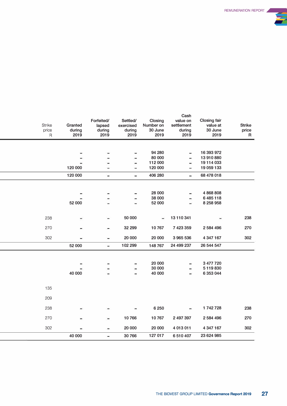

| Strike<br>Granted<br>price<br>during<br>2019<br>$\mathsf R$ | Forfeited/<br>lapsed<br>during<br>2019 | Settled/<br>exercised<br>during<br>2019 | Closing<br>Number on<br>30 June<br>2019 | Cash<br>value on<br>settlement<br>during<br>2019 | <b>Closing fair</b><br>value at<br>30 June<br>2019 | <b>Strike</b><br>price<br>R |
|-------------------------------------------------------------|----------------------------------------|-----------------------------------------|-----------------------------------------|--------------------------------------------------|----------------------------------------------------|-----------------------------|
|                                                             |                                        |                                         |                                         |                                                  |                                                    |                             |
|                                                             |                                        | -                                       | 94 280                                  | $\overline{ }$                                   | 16 393 972                                         |                             |
|                                                             |                                        | -                                       | 80 000                                  |                                                  | 13 910 880                                         |                             |
|                                                             |                                        | -                                       | 112 000                                 | -                                                | 19 114 033                                         |                             |
| 120 000                                                     |                                        | ÷                                       | 120 000                                 | ₩                                                | 19 059 133                                         |                             |
| 120 000                                                     | -                                      | ٠                                       | 406 280                                 | $\overline{ }$                                   | 68 478 018                                         |                             |
|                                                             |                                        |                                         |                                         |                                                  |                                                    |                             |
|                                                             |                                        | -                                       | 28 000                                  | ÷                                                | 4868808                                            |                             |
|                                                             |                                        | -                                       | 38 000                                  | $\equiv$                                         | 6 485 118                                          |                             |
| 52 000                                                      |                                        | u,                                      | 52 000                                  | ω,                                               | 8 258 958                                          |                             |
|                                                             |                                        |                                         |                                         |                                                  |                                                    |                             |
| 238                                                         |                                        | 50 000                                  | $\qquad \qquad$                         | 13 110 341                                       |                                                    | 238                         |
|                                                             |                                        |                                         |                                         |                                                  |                                                    |                             |
| 270                                                         |                                        | 32 299                                  | 10767                                   | 7 423 359                                        | 2 584 496                                          | 270                         |
| 302                                                         | -                                      | 20 000                                  | 20 000                                  | 3 965 536                                        | 4 347 167                                          | 302                         |
| 52 000                                                      | $\overline{\phantom{0}}$               | 102 299                                 | 148 767                                 | 24 499 237                                       | 26 544 547                                         |                             |
|                                                             |                                        |                                         |                                         |                                                  |                                                    |                             |
|                                                             |                                        |                                         | 20 000                                  |                                                  | 3 477 720                                          |                             |
|                                                             |                                        | $\overline{ }$                          | 30 000                                  | -                                                | 5 119 830                                          |                             |
| 40 000                                                      |                                        | ÷                                       | 40 000                                  | W,                                               | 6 353 044                                          |                             |
|                                                             |                                        |                                         |                                         |                                                  |                                                    |                             |
| 135                                                         |                                        |                                         |                                         |                                                  |                                                    |                             |
| 209                                                         |                                        |                                         |                                         |                                                  |                                                    |                             |
|                                                             |                                        |                                         |                                         |                                                  |                                                    |                             |
| 238                                                         |                                        |                                         | 6 2 5 0                                 | -                                                | 1742728                                            | 238                         |
| 270                                                         |                                        | 10766                                   | 10767                                   | 2 497 397                                        | 2 584 496                                          | 270                         |
| 302                                                         | -                                      | 20 000                                  | 20 000                                  | 4 013 011                                        | 4 347 167                                          | 302                         |
| 40 000                                                      | Ê,                                     | 30766                                   | 127 017                                 | 6 510 407                                        | 23 624 985                                         |                             |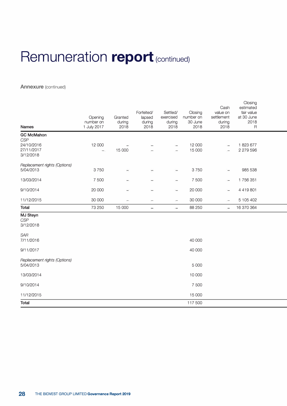### **Annexure** (continued)

| <b>Names</b>                                 | Opening<br>number on<br>1 July 2017 | Granted<br>during<br>2018 | Forfeited/<br>lapsed<br>during<br>2018 | Settled/<br>exercised<br>during<br>2018 | Closing<br>number on<br>30 June<br>2018 | Cash<br>value on<br>settlement<br>during<br>2018 | פי יישטוש<br>estimated<br>fair value<br>at 30 June<br>2018<br>$\mathsf R$ |  |
|----------------------------------------------|-------------------------------------|---------------------------|----------------------------------------|-----------------------------------------|-----------------------------------------|--------------------------------------------------|---------------------------------------------------------------------------|--|
| <b>GC McMahon</b>                            |                                     |                           |                                        |                                         |                                         |                                                  |                                                                           |  |
| CSP<br>24/10/2016<br>27/11/2017<br>3/12/2018 | 12 000<br>$\overline{\phantom{a}}$  | 15 000                    |                                        |                                         | 12 000<br>15 000                        | $\qquad \qquad$                                  | 1823677<br>2 279 596                                                      |  |
| Replacement rights (Options)<br>5/04/2013    | 3750                                | ÷                         | ۳                                      | $\equiv$                                | 3750                                    | -                                                | 985 538                                                                   |  |
| 13/03/2014                                   | 7 500                               |                           |                                        | -                                       | 7 500                                   | $\overline{\phantom{a}}$                         | 1756351                                                                   |  |
| 9/10/2014                                    | 20 000                              | ÷                         |                                        | $\equiv$                                | 20 000                                  | $\equiv$                                         | 4 4 1 9 8 0 1                                                             |  |
| 11/12/2015                                   | 30 000                              | $\overline{\phantom{m}}$  | $\overline{\phantom{a}}$               | $\overline{\phantom{a}}$                | 30 000                                  | $\overline{\phantom{0}}$                         | 5 105 402                                                                 |  |
| <b>Total</b>                                 | 73 250                              | 15 000                    | $\overline{\phantom{a}}$               | $\overline{a}$                          | 88 250                                  | $\overline{a}$                                   | 16 370 364                                                                |  |
| <b>MJ Steyn</b><br><b>CSP</b><br>3/12/2018   |                                     |                           |                                        |                                         |                                         |                                                  |                                                                           |  |
| <b>SAR</b><br>7/11/2016                      |                                     |                           |                                        |                                         | 40 000                                  |                                                  |                                                                           |  |
| 9/11/2017                                    |                                     |                           |                                        |                                         | 40 000                                  |                                                  |                                                                           |  |
| Replacement rights (Options)<br>5/04/2013    |                                     |                           |                                        |                                         | 5 0 0 0                                 |                                                  |                                                                           |  |
| 13/03/2014                                   |                                     |                           |                                        |                                         | 10 000                                  |                                                  |                                                                           |  |
| 9/10/2014                                    |                                     |                           |                                        |                                         | 7 500                                   |                                                  |                                                                           |  |
| 11/12/2015                                   |                                     |                           |                                        |                                         | 15 000                                  |                                                  |                                                                           |  |
| <b>Total</b>                                 |                                     |                           |                                        |                                         | 117 500                                 |                                                  |                                                                           |  |

Closing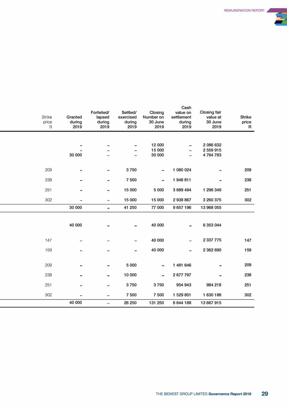

| <b>Strike</b><br>price<br>$\mathsf R$ | Granted<br>during<br>2019 | Forfeited/<br>lapsed<br>during<br>2019 | Settled/<br>exercised<br>during<br>2019 | Closing<br>Number on<br>30 June<br>2019 | Cash<br>value on<br>settlement<br>during<br>2019 | <b>Closing fair</b><br>value at<br>30 June<br>2019 | <b>Strike</b><br>price<br>R |
|---------------------------------------|---------------------------|----------------------------------------|-----------------------------------------|-----------------------------------------|--------------------------------------------------|----------------------------------------------------|-----------------------------|
|                                       |                           |                                        |                                         |                                         |                                                  |                                                    |                             |
|                                       | 30 000                    |                                        |                                         | 12 000<br>15 000<br>30 000              | ٠                                                | 2 086 632<br>2 559 915<br>4764783                  |                             |
| 209                                   | -                         | -                                      | 3750                                    | $\frac{1}{2}$                           | 1 080 024                                        | ۰                                                  | 209                         |
| 238                                   |                           | -                                      | 7500                                    |                                         | 1948811                                          |                                                    | 238                         |
| 251                                   | ÷                         | -                                      | 15 000                                  | 5 000                                   | 3 689 494                                        | 1 296 349                                          | 251                         |
| 302                                   | $\overline{\phantom{0}}$  | -                                      | 15 000                                  | 15 000                                  | 2938867                                          | 3 260 375                                          | 302                         |
|                                       | 30 000                    | $\blacksquare$                         | 41 250                                  | 77 000                                  | 9657196                                          | 13 968 055                                         |                             |
|                                       | 40 000                    |                                        |                                         | 40 000                                  | ۰                                                | 6 353 044                                          |                             |
| 147                                   | -                         |                                        |                                         | 40 000                                  | -                                                | 2 337 775                                          | 147                         |
| 159                                   |                           |                                        |                                         | 40 000                                  | ₩,                                               | 2 362 690                                          | 159                         |
| 209                                   |                           |                                        | 5 0 0 0                                 | ۰                                       | 1 481 646                                        |                                                    | 209                         |
| 238                                   |                           |                                        | 10 000                                  |                                         | 2 677 797                                        |                                                    | 238                         |
| 251                                   |                           |                                        | 3750                                    | 3750                                    | 954 943                                          | 984 218                                            | 251                         |
| 302                                   |                           |                                        | 7500                                    | 7 500                                   | 1 529 801                                        | 1 630 188                                          | 302                         |
|                                       | 40 000                    | $=$                                    | 26 250                                  | 131 250                                 | 6 644 188                                        | 13 667 915                                         |                             |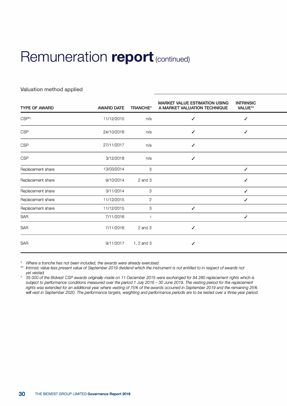### **Valuation method applied**

| <b>TYPE OF AWARD</b> | <b>AWARD DATE</b> | <b>TRANCHE*</b> | <b>MARKET VALUE ESTIMATION USING</b><br>A MARKET VALUATION TECHNIQUE | <b>INTRINSIC</b><br><b>VALUE**</b> |
|----------------------|-------------------|-----------------|----------------------------------------------------------------------|------------------------------------|
| CSP <sup>(1)</sup>   | 11/12/2015        | n/a             | ✔                                                                    | $\checkmark$                       |
| <b>CSP</b>           | 24/10/2016        | n/a             | ✓                                                                    | $\checkmark$                       |
| <b>CSP</b>           | 27/11/2017        | n/a             | ✓                                                                    |                                    |
| <b>CSP</b>           | 3/12/2018         | n/a             | ✔                                                                    |                                    |
| Replacement share    | 13/03/2014        | 3               |                                                                      | $\checkmark$                       |
| Replacement share    | 9/10/2014         | $2$ and $3$     |                                                                      | $\checkmark$                       |
| Replacement share    | 3/11/2014         | 3               |                                                                      | ✓                                  |
| Replacement share    | 11/12/2015        | $\overline{2}$  |                                                                      | $\checkmark$                       |
| Replacement share    | 11/12/2015        | 3               | $\checkmark$                                                         |                                    |
| SAR                  | 7/11/2016         | 1               |                                                                      | $\checkmark$                       |
| SAR                  | 7/11/2016         | $2$ and $3$     | ✓                                                                    |                                    |
| SAR                  | 9/11/2017         | 1, 2 and 3      | ✔                                                                    |                                    |

*\* Where* a *tranche has not been included, the awards were already exercised.*

*\*\* Intrinsic value less present value of September 2019 dividend which the instrument is not entitled to in respect of awards not yet vested.* 

*1. 35* 000 *of the Bidvest CSP awards originally made on 11 December 2015 were exchanged for 94 280 replacement rights which is subject to performance conditions measured over the period 1 July 2016- 30 June 2019. The vesting period for the replacement rights was extended for an additional year where vesting of* 75% *of the awards occurred in September 2019 and the remaining 25%* will vest in September 2020. The performance targets, weighting and performance periods are to be tested over a three-year period.